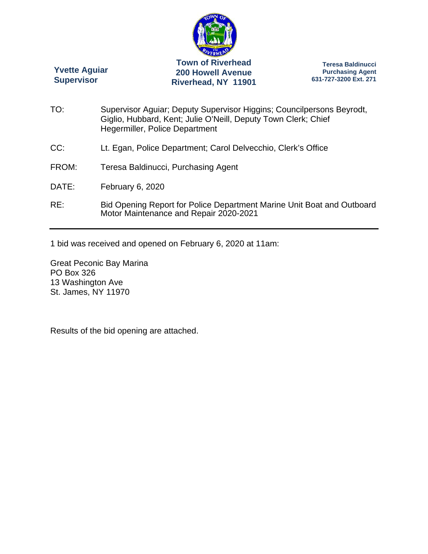

**Yvette Aguiar Supervisor** 

**Teresa Baldinucci Purchasing Agent 631-727-3200 Ext. 271** 

TO: Supervisor Aguiar; Deputy Supervisor Higgins; Councilpersons Beyrodt, Giglio, Hubbard, Kent; Julie O'Neill, Deputy Town Clerk; Chief Hegermiller, Police Department CC: Lt. Egan, Police Department; Carol Delvecchio, Clerk's Office FROM: Teresa Baldinucci, Purchasing Agent DATE: February 6, 2020 RE: Bid Opening Report for Police Department Marine Unit Boat and Outboard Motor Maintenance and Repair 2020-2021

1 bid was received and opened on February 6, 2020 at 11am:

Great Peconic Bay Marina PO Box 326 13 Washington Ave St. James, NY 11970

Results of the bid opening are attached.